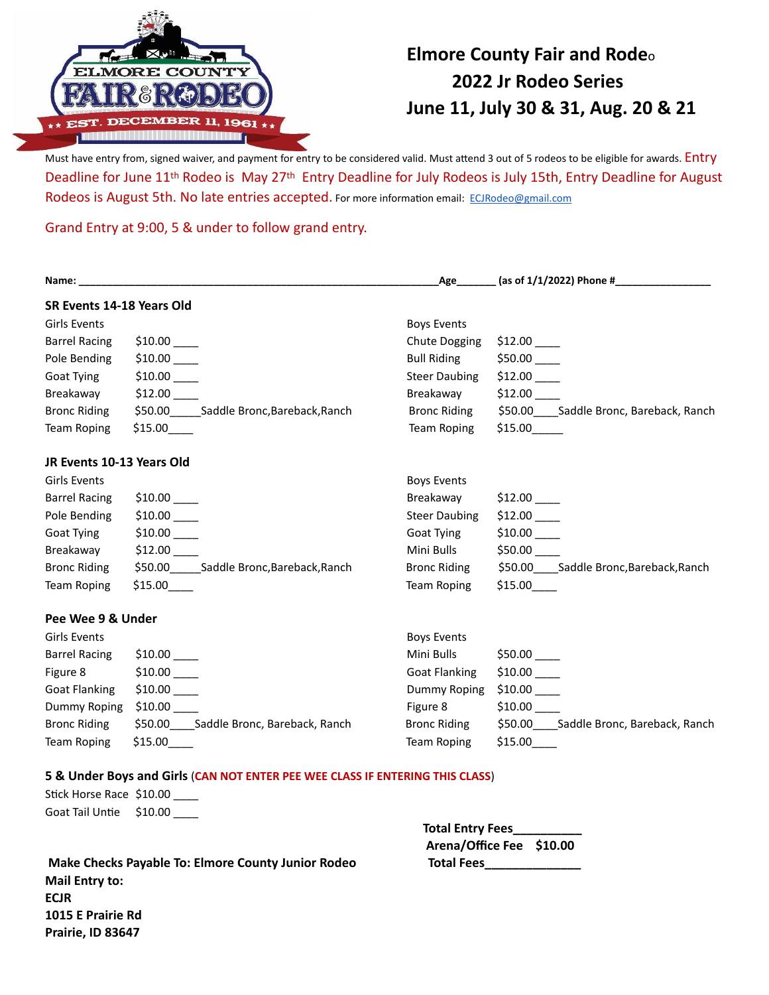

## **Elmore County Fair and Rode**<sup>o</sup> **2022 Jr Rodeo Series June 11, July 30 & 31, Aug. 20 & 21**

Must have entry from, signed waiver, and payment for entry to be considered valid. Must attend 3 out of 5 rodeos to be eligible for awards. Entry Deadline for June 11th Rodeo is May 27th Entry Deadline for July Rodeos is July 15th, Entry Deadline for August Rodeos is August 5th. No late entries accepted. For more information email: [ECJRodeo@gmail.com](mailto:ECJRodeo@gmail.com)

Grand Entry at 9:00, 5 & under to follow grand entry.

| Name:                     |                                                                               |                         | _Age________ (as of 1/1/2022) Phone #__________________ |  |
|---------------------------|-------------------------------------------------------------------------------|-------------------------|---------------------------------------------------------|--|
| SR Events 14-18 Years Old |                                                                               |                         |                                                         |  |
| <b>Girls Events</b>       |                                                                               | <b>Boys Events</b>      |                                                         |  |
| <b>Barrel Racing</b>      | \$10.00                                                                       | Chute Dogging           | \$12.00                                                 |  |
| Pole Bending              |                                                                               | <b>Bull Riding</b>      | $$50.00$ $\_\_$                                         |  |
| Goat Tying                | \$10.00                                                                       | <b>Steer Daubing</b>    | $$12.00$ $\_\_$                                         |  |
| Breakaway                 | \$12.00                                                                       | Breakaway               | \$12.00                                                 |  |
| <b>Bronc Riding</b>       | \$50.00______Saddle Bronc,Bareback,Ranch                                      | <b>Bronc Riding</b>     | \$50.00 ___ Saddle Bronc, Bareback, Ranch               |  |
| <b>Team Roping</b>        | \$15.00                                                                       | Team Roping             | \$15.00                                                 |  |
| JR Events 10-13 Years Old |                                                                               |                         |                                                         |  |
| Girls Events              |                                                                               | <b>Boys Events</b>      |                                                         |  |
| <b>Barrel Racing</b>      | \$10.00                                                                       | Breakaway               | \$12.00                                                 |  |
| Pole Bending              |                                                                               | <b>Steer Daubing</b>    | $$12.00$ $\_\_$                                         |  |
| Goat Tying                |                                                                               | Goat Tying              | \$10.00                                                 |  |
| Breakaway                 | \$12.00                                                                       | Mini Bulls              | \$50.00                                                 |  |
| <b>Bronc Riding</b>       | \$50.00 Saddle Bronc, Bareback, Ranch                                         | <b>Bronc Riding</b>     | \$50.00 Saddle Bronc, Bareback, Ranch                   |  |
| <b>Team Roping</b>        | \$15.00                                                                       | <b>Team Roping</b>      | \$15.00                                                 |  |
| Pee Wee 9 & Under         |                                                                               |                         |                                                         |  |
| <b>Girls Events</b>       |                                                                               | <b>Boys Events</b>      |                                                         |  |
| <b>Barrel Racing</b>      |                                                                               | Mini Bulls              | $$50.00$ ____                                           |  |
| Figure 8                  |                                                                               | <b>Goat Flanking</b>    | $$10.00$ $\_\_$                                         |  |
| <b>Goat Flanking</b>      |                                                                               | Dummy Roping            | $$10.00$ $\_$                                           |  |
| Dummy Roping              | \$10.00                                                                       | Figure 8                | $$10.00$ $\_\_$                                         |  |
| <b>Bronc Riding</b>       | \$50.00 Saddle Bronc, Bareback, Ranch                                         | <b>Bronc Riding</b>     | \$50.00 Saddle Bronc, Bareback, Ranch                   |  |
| <b>Team Roping</b>        | \$15.00                                                                       | <b>Team Roping</b>      | \$15.00                                                 |  |
|                           | 5 & Under Boys and Girls (CAN NOT ENTER PEE WEE CLASS IF ENTERING THIS CLASS) |                         |                                                         |  |
| Stick Horse Race \$10.00  |                                                                               |                         |                                                         |  |
| Goat Tail Untie           | \$10.00                                                                       |                         |                                                         |  |
|                           |                                                                               | <b>Total Entry Fees</b> |                                                         |  |

**Make Checks Payable To: Elmore County Junior Rodeo Total Fees\_ Mail Entry to: ECJR 1015 E Prairie Rd Prairie, ID 83647**

 **Arena/Office Fee \$10.00**